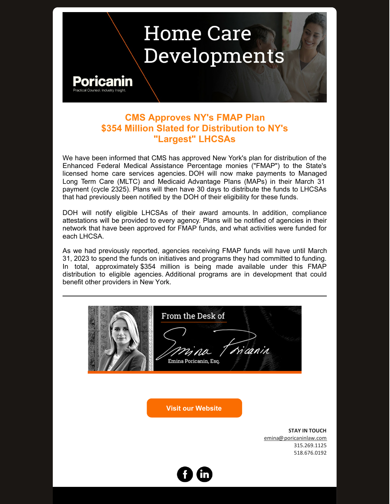## **Home Care** Developments



## **CMS Approves NY's FMAP Plan \$354 Million Slated for Distribution to NY's "Largest" LHCSAs**

We have been informed that CMS has approved New York's plan for distribution of the Enhanced Federal Medical Assistance Percentage monies ("FMAP") to the State's licensed home care services agencies. DOH will now make payments to Managed Long Term Care (MLTC) and Medicaid Advantage Plans (MAPs) in their March 31 payment (cycle 2325). Plans will then have 30 days to distribute the funds to LHCSAs that had previously been notified by the DOH of their eligibility for these funds.

DOH will notify eligible LHCSAs of their award amounts. In addition, compliance attestations will be provided to every agency. Plans will be notified of agencies in their network that have been approved for FMAP funds, and what activities were funded for each LHCSA.

As we had previously reported, agencies receiving FMAP funds will have until March 31, 2023 to spend the funds on initiatives and programs they had committed to funding. In total, approximately \$354 million is being made available under this FMAP distribution to eligible agencies. Additional programs are in development that could benefit other providers in New York.

| From the Desk of<br>rina Tricanin<br>Emina Poricanin, Esq. |                        |
|------------------------------------------------------------|------------------------|
| <b>Visit our Website</b>                                   |                        |
|                                                            | <b>STAY IN TOUCH</b>   |
|                                                            | emina@poricaninlaw.com |
|                                                            | 315.269.1125           |
|                                                            | 518.676.0192           |
|                                                            |                        |